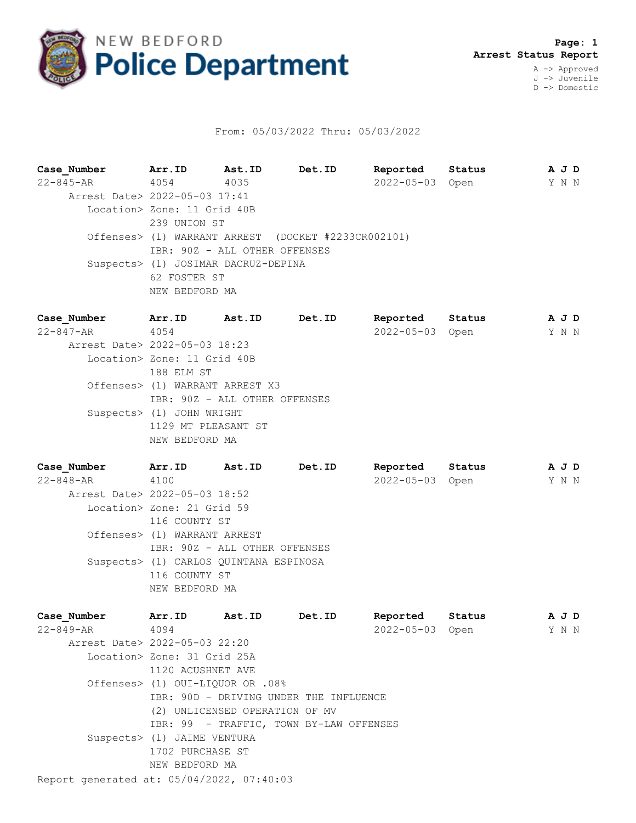

## From: 05/03/2022 Thru: 05/03/2022

**Case\_Number Arr.ID Ast.ID Det.ID Reported Status A J D** 22-845-AR 4054 4035 2022-05-03 Open Y N N Arrest Date> 2022-05-03 17:41 Location> Zone: 11 Grid 40B 239 UNION ST Offenses> (1) WARRANT ARREST (DOCKET #2233CR002101) IBR: 90Z - ALL OTHER OFFENSES Suspects> (1) JOSIMAR DACRUZ-DEPINA 62 FOSTER ST NEW BEDFORD MA

**Case\_Number Arr.ID Ast.ID Det.ID Reported Status A J D** 22-847-AR 4054 2022-05-03 Open Y N N Arrest Date> 2022-05-03 18:23 Location> Zone: 11 Grid 40B 188 ELM ST Offenses> (1) WARRANT ARREST X3 IBR: 90Z - ALL OTHER OFFENSES Suspects> (1) JOHN WRIGHT 1129 MT PLEASANT ST NEW BEDFORD MA

**Case\_Number Arr.ID Ast.ID Det.ID Reported Status A J D** 22-848-AR 4100 2022-05-03 Open Y N N Arrest Date> 2022-05-03 18:52 Location> Zone: 21 Grid 59 116 COUNTY ST Offenses> (1) WARRANT ARREST IBR: 90Z - ALL OTHER OFFENSES Suspects> (1) CARLOS QUINTANA ESPINOSA 116 COUNTY ST NEW BEDFORD MA

Report generated at: 05/04/2022, 07:40:03 **Case\_Number Arr.ID Ast.ID Det.ID Reported Status A J D** 22-849-AR 4094 2022-05-03 Open Y N N Arrest Date> 2022-05-03 22:20 Location> Zone: 31 Grid 25A 1120 ACUSHNET AVE Offenses> (1) OUI-LIQUOR OR .08% IBR: 90D - DRIVING UNDER THE INFLUENCE (2) UNLICENSED OPERATION OF MV IBR: 99 - TRAFFIC, TOWN BY-LAW OFFENSES Suspects> (1) JAIME VENTURA 1702 PURCHASE ST NEW BEDFORD MA